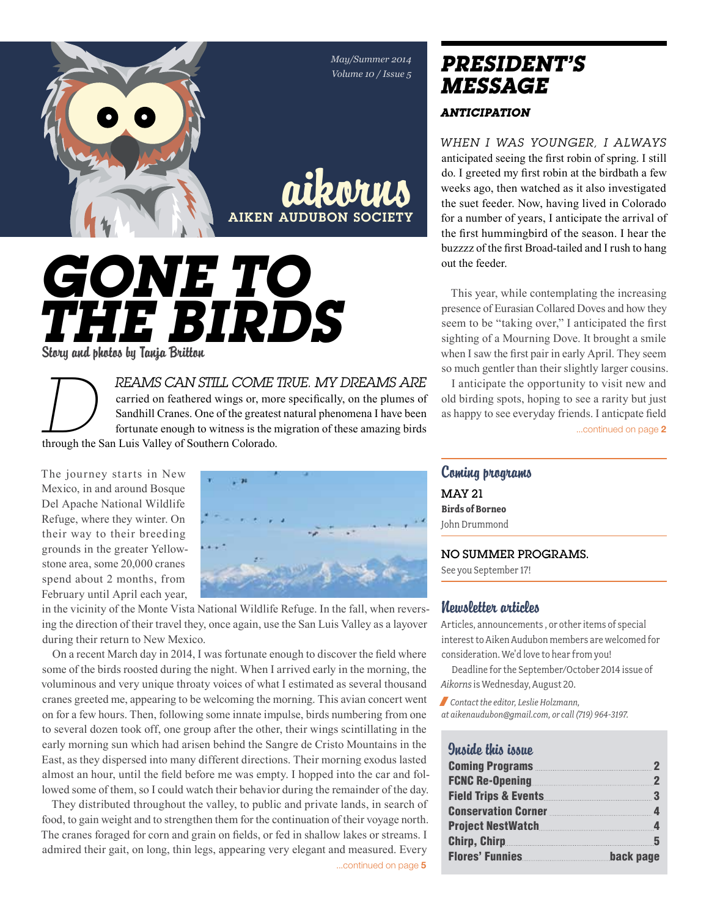*May/Summer 2014 Volume 10 / Issue 5*

# aikorns **AIKEN AUDUBON SOCIET** *Gone to the Birds*

Story and photos by Tanja Britton

*REAMS CAN STILL COME TRUE. MY DREAMS ARE* I anticipate the opportunity to visit new and carried on feathered wings or, more specifically, on the plumes of old birding spots, hoping to see a rarity but just Sandhill Cranes *reams can still come true. My dreams are*  carried on feathered wings or, more specifically, on the plumes of Sandhill Cranes. One of the greatest natural phenomena I have been fortunate enough to witness is the migration of these amazing birds through the San Luis Valley of Southern Colorado.

The journey starts in New Mexico, in and around Bosque Del Apache National Wildlife Refuge, where they winter. On their way to their breeding grounds in the greater Yellowstone area, some 20,000 cranes spend about 2 months, from February until April each year,



in the vicinity of the Monte Vista National Wildlife Refuge. In the fall, when reversing the direction of their travel they, once again, use the San Luis Valley as a layover during their return to New Mexico.

On a recent March day in 2014, I was fortunate enough to discover the field where some of the birds roosted during the night. When I arrived early in the morning, the voluminous and very unique throaty voices of what I estimated as several thousand cranes greeted me, appearing to be welcoming the morning. This avian concert went on for a few hours. Then, following some innate impulse, birds numbering from one to several dozen took off, one group after the other, their wings scintillating in the early morning sun which had arisen behind the Sangre de Cristo Mountains in the East, as they dispersed into many different directions. Their morning exodus lasted almost an hour, until the field before me was empty. I hopped into the car and followed some of them, so I could watch their behavior during the remainder of the day.

They distributed throughout the valley, to public and private lands, in search of food, to gain weight and to strengthen them for the continuation of their voyage north. The cranes foraged for corn and grain on fields, or fed in shallow lakes or streams. I admired their gait, on long, thin legs, appearing very elegant and measured. Every

...continued on page 5

# *president's message*

### *Anticipation*

*When I was younger, I always*  anticipated seeing the first robin of spring. I still do. I greeted my first robin at the birdbath a few weeks ago, then watched as it also investigated the suet feeder. Now, having lived in Colorado for a number of years, I anticipate the arrival of the first hummingbird of the season. I hear the buzzzz of the first Broad-tailed and I rush to hang out the feeder.

This year, while contemplating the increasing presence of Eurasian Collared Doves and how they seem to be "taking over," I anticipated the first sighting of a Mourning Dove. It brought a smile when I saw the first pair in early April. They seem so much gentler than their slightly larger cousins.

I anticipate the opportunity to visit new and old birding spots, hoping to see a rarity but just as happy to see everyday friends. I anticpate field

# Coming programs MAy 21 **Birds of Borneo** John Drummond

#### No summer programs.

See you September 17!

#### Newsletter articles

Articles, announcements , or other items of special interest to Aiken Audubon members are welcomed for consideration. We'd love to hear from you!

Deadline for the September/October 2014 issue of *Aikorns* is Wednesday, August 20.

/ *Contact the editor, Leslie Holzmann, at aikenaudubon@gmail.com, or call (719) 964-3197.*

# Inside this issue

| <b>Coming Programs</b>                                       | $\overline{2}$   |
|--------------------------------------------------------------|------------------|
|                                                              | $\mathbf 2$      |
| <b>Field Trips &amp; Events</b>                              | - 3              |
| <b>Conservation Corner <i>Corner <b>Conservation</b></i></b> | $\Delta$         |
| Project NestWatch                                            | $\boldsymbol{4}$ |
|                                                              | 5                |
| <b>Flores' Funnies</b>                                       | back page        |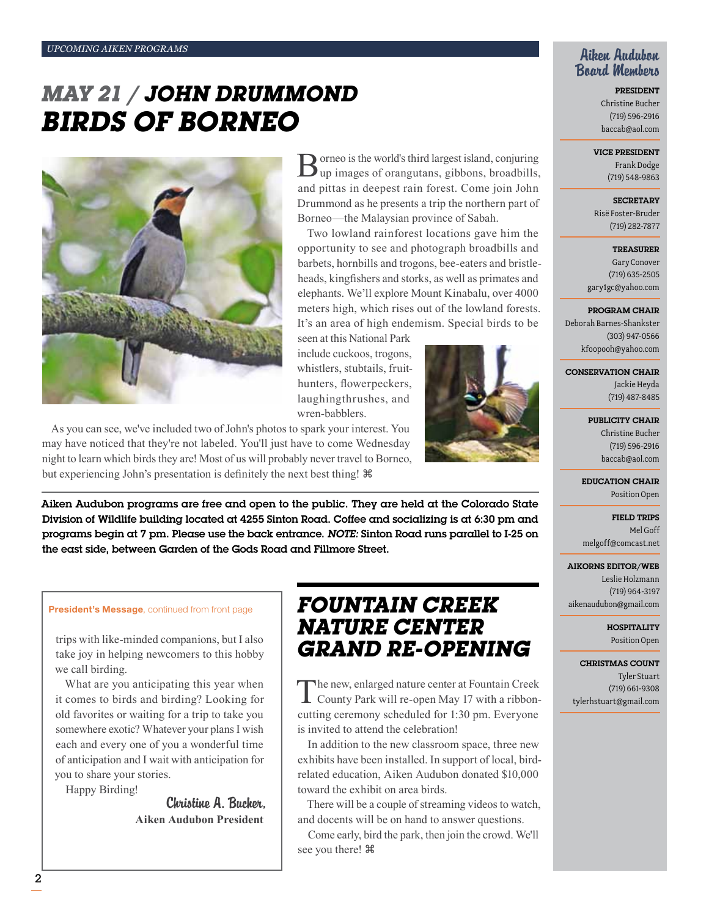# *May 21 / John Drummond Birds of Borneo*



As you can see, we've included two of John's photos to spark your interest. You may have noticed that they're not labeled. You'll just have to come Wednesday night to learn which birds they are! Most of us will probably never travel to Borneo, but experiencing John's presentation is definitely the next best thing!

Aiken Audubon programs are free and open to the public. They are held at the Colorado State Division of Wildlife building located at 4255 Sinton Road. Coffee and socializing is at 6:30 pm and programs begin at 7 pm. Please use the back entrance. *Note:* Sinton Road runs parallel to I-25 on the east side, between Garden of the Gods Road and Fillmore Street.

#### President's Message, continued from front page

trips with like-minded companions, but I also take joy in helping newcomers to this hobby we call birding.

What are you anticipating this year when it comes to birds and birding? Looking for old favorites or waiting for a trip to take you somewhere exotic? Whatever your plans I wish each and every one of you a wonderful time of anticipation and I wait with anticipation for you to share your stories.

Happy Birding!

Christine A. Bucher, **Aiken Audubon President**

# *Fountain Creek Nature Center Grand Re-Opening*

Borneo is the world's third largest island, conjuring up images of orangutans, gibbons, broadbills, and pittas in deepest rain forest. Come join John Drummond as he presents a trip the northern part of

Two lowland rainforest locations gave him the opportunity to see and photograph broadbills and barbets, hornbills and trogons, bee-eaters and bristleheads, kingfishers and storks, as well as primates and elephants. We'll explore Mount Kinabalu, over 4000 meters high, which rises out of the lowland forests. It's an area of high endemism. Special birds to be

Borneo—the Malaysian province of Sabah.

seen at this National Park include cuckoos, trogons, whistlers, stubtails, fruithunters, flowerpeckers,

The new, enlarged nature center at Fountain Creek<br>County Park will re-open May 17 with a ribboncutting ceremony scheduled for 1:30 pm. Everyone is invited to attend the celebration!

In addition to the new classroom space, three new exhibits have been installed. In support of local, birdrelated education, Aiken Audubon donated \$10,000 toward the exhibit on area birds.

There will be a couple of streaming videos to watch, and docents will be on hand to answer questions.

Come early, bird the park, then join the crowd. We'll see you there!

# Aiken Audubon Board Members

President Christine Bucher (719) 596-2916 baccab@aol.com

Vice President

Frank Dodge (719) 548-9863

**SECRETARY** Risë Foster-Bruder (719) 282-7877

Treasurer Gary Conover (719) 635-2505 gary1gc@yahoo.com

Program Chair

Deborah Barnes-Shankster (303) 947-0566 kfoopooh@yahoo.com

Conservation Chair

Jackie Heyda (719) 487-8485

Publicity Chair Christine Bucher

(719) 596-2916 baccab@aol.com

Education Chair Position Open

Field Trips Mel Goff melgoff@comcast.net

#### Aikorns Editor/Web

Leslie Holzmann (719) 964-3197 aikenaudubon@gmail.com

> **HOSPITALITY** Position Open

Christmas Count Tyler Stuart (719) 661-9308 tylerhstuart@gmail.com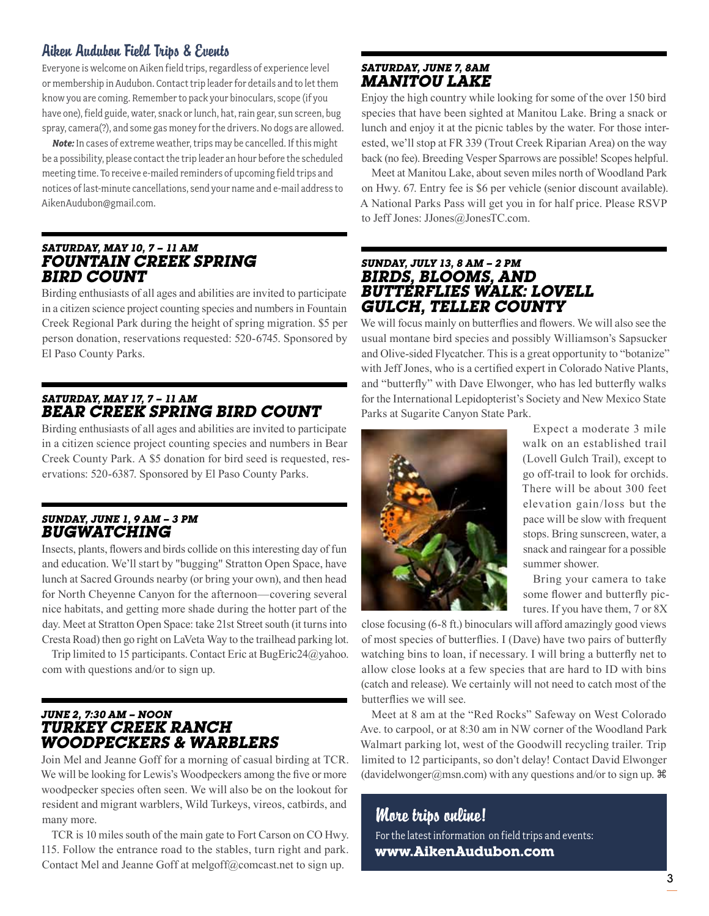# Aiken Audubon Field Trips & Events

Everyone is welcome on Aiken field trips, regardless of experience level or membership in Audubon. Contact trip leader for details and to let them know you are coming. Remember to pack your binoculars, scope (if you have one), field guide, water, snack or lunch, hat, rain gear, sun screen, bug spray, camera(?), and some gas money for the drivers. No dogs are allowed.

*Note:* In cases of extreme weather, trips may be cancelled. If this might be a possibility, please contact the trip leader an hour before the scheduled meeting time. To receive e-mailed reminders of upcoming field trips and notices of last-minute cancellations, send your name and e-mail address to AikenAudubon@gmail.com.

#### *Saturday, May 10, 7 – 11 am Fountain Creek Spring Bird Count*

Birding enthusiasts of all ages and abilities are invited to participate in a citizen science project counting species and numbers in Fountain Creek Regional Park during the height of spring migration. \$5 per person donation, reservations requested: 520-6745. Sponsored by El Paso County Parks.

## *Saturday, May 17, 7 – 11 am Bear Creek Spring Bird Count*

Birding enthusiasts of all ages and abilities are invited to participate in a citizen science project counting species and numbers in Bear Creek County Park. A \$5 donation for bird seed is requested, reservations: 520-6387. Sponsored by El Paso County Parks.

## *Sunday, June 1, 9 am – 3 pm Bugwatching*

Insects, plants, flowers and birds collide on this interesting day of fun and education. We'll start by "bugging" Stratton Open Space, have lunch at Sacred Grounds nearby (or bring your own), and then head for North Cheyenne Canyon for the afternoon—covering several nice habitats, and getting more shade during the hotter part of the day. Meet at Stratton Open Space: take 21st Street south (it turns into Cresta Road) then go right on LaVeta Way to the trailhead parking lot.

Trip limited to 15 participants. Contact Eric at BugEric24@yahoo. com with questions and/or to sign up.

## *June 2, 7:30 am – noon Turkey Creek Ranch Woodpeckers & Warblers*

Join Mel and Jeanne Goff for a morning of casual birding at TCR. We will be looking for Lewis's Woodpeckers among the five or more woodpecker species often seen. We will also be on the lookout for resident and migrant warblers, Wild Turkeys, vireos, catbirds, and many more.

TCR is 10 miles south of the main gate to Fort Carson on CO Hwy. 115. Follow the entrance road to the stables, turn right and park. Contact Mel and Jeanne Goff at melgoff@comcast.net to sign up.

# *Saturday, June 7, 8am Manitou Lake*

Enjoy the high country while looking for some of the over 150 bird species that have been sighted at Manitou Lake. Bring a snack or lunch and enjoy it at the picnic tables by the water. For those interested, we'll stop at FR 339 (Trout Creek Riparian Area) on the way back (no fee). Breeding Vesper Sparrows are possible! Scopes helpful.

Meet at Manitou Lake, about seven miles north of Woodland Park on Hwy. 67. Entry fee is \$6 per vehicle (senior discount available). A National Parks Pass will get you in for half price. Please RSVP to Jeff Jones: JJones@JonesTC.com.

## *Sunday, July 13, 8 am – 2 pm Birds, Blooms, and Butterflies Walk: Lovell Gulch, Teller County*

We will focus mainly on butterflies and flowers. We will also see the usual montane bird species and possibly Williamson's Sapsucker and Olive-sided Flycatcher. This is a great opportunity to "botanize" with Jeff Jones, who is a certified expert in Colorado Native Plants, and "butterfly" with Dave Elwonger, who has led butterfly walks for the International Lepidopterist's Society and New Mexico State Parks at Sugarite Canyon State Park.



Expect a moderate 3 mile walk on an established trail (Lovell Gulch Trail), except to go off-trail to look for orchids. There will be about 300 feet elevation gain/loss but the pace will be slow with frequent stops. Bring sunscreen, water, a snack and raingear for a possible summer shower.

Bring your camera to take some flower and butterfly pictures. If you have them, 7 or 8X

close focusing (6-8 ft.) binoculars will afford amazingly good views of most species of butterflies. I (Dave) have two pairs of butterfly watching bins to loan, if necessary. I will bring a butterfly net to allow close looks at a few species that are hard to ID with bins (catch and release). We certainly will not need to catch most of the butterflies we will see.

Meet at 8 am at the "Red Rocks" Safeway on West Colorado Ave. to carpool, or at 8:30 am in NW corner of the Woodland Park Walmart parking lot, west of the Goodwill recycling trailer. Trip limited to 12 participants, so don't delay! Contact David Elwonger (davidelwonger@msn.com) with any questions and/or to sign up.  $\mathcal{H}$ 

# More trips online! For the latest information on field trips and events: **www.AikenAudubon.com**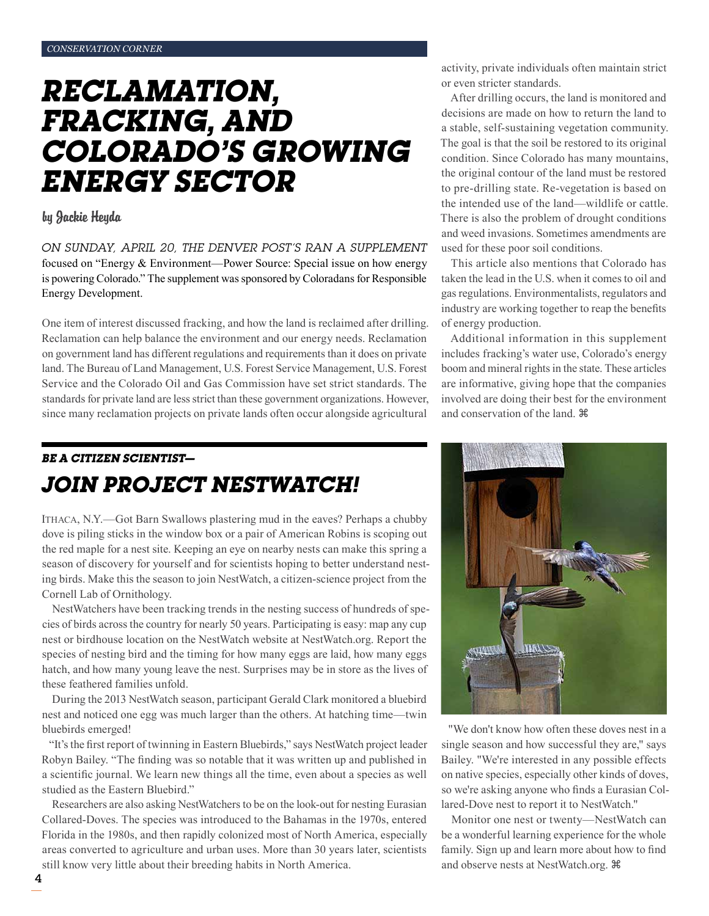# *Reclamation, fracking, and Colorado's growing energy sector*

#### by Jackie Heyda

*On Sunday, April 20, the Denver Post's ran a supplement*  focused on "Energy & Environment—Power Source: Special issue on how energy is powering Colorado." The supplement was sponsored by Coloradans for Responsible Energy Development.

One item of interest discussed fracking, and how the land is reclaimed after drilling. Reclamation can help balance the environment and our energy needs. Reclamation on government land has different regulations and requirements than it does on private land. The Bureau of Land Management, U.S. Forest Service Management, U.S. Forest Service and the Colorado Oil and Gas Commission have set strict standards. The standards for private land are less strict than these government organizations. However, since many reclamation projects on private lands often occur alongside agricultural

# *Be a Citizen Scientist— Join Project NestWatch!*

Ithaca, N.Y.—Got Barn Swallows plastering mud in the eaves? Perhaps a chubby dove is piling sticks in the window box or a pair of American Robins is scoping out the red maple for a nest site. Keeping an eye on nearby nests can make this spring a season of discovery for yourself and for scientists hoping to better understand nesting birds. Make this the season to join NestWatch, a citizen-science project from the Cornell Lab of Ornithology.

NestWatchers have been tracking trends in the nesting success of hundreds of species of birds across the country for nearly 50 years. Participating is easy: map any cup nest or birdhouse location on the NestWatch website at NestWatch.org. Report the species of nesting bird and the timing for how many eggs are laid, how many eggs hatch, and how many young leave the nest. Surprises may be in store as the lives of these feathered families unfold.

During the 2013 NestWatch season, participant Gerald Clark monitored a bluebird nest and noticed one egg was much larger than the others. At hatching time—twin bluebirds emerged!

"It's the first report of twinning in Eastern Bluebirds," says NestWatch project leader Robyn Bailey. "The finding was so notable that it was written up and published in a scientific journal. We learn new things all the time, even about a species as well studied as the Eastern Bluebird."

Researchers are also asking NestWatchers to be on the look-out for nesting Eurasian Collared-Doves. The species was introduced to the Bahamas in the 1970s, entered Florida in the 1980s, and then rapidly colonized most of North America, especially areas converted to agriculture and urban uses. More than 30 years later, scientists still know very little about their breeding habits in North America.

activity, private individuals often maintain strict or even stricter standards.

After drilling occurs, the land is monitored and decisions are made on how to return the land to a stable, self-sustaining vegetation community. The goal is that the soil be restored to its original condition. Since Colorado has many mountains, the original contour of the land must be restored to pre-drilling state. Re-vegetation is based on the intended use of the land—wildlife or cattle. There is also the problem of drought conditions and weed invasions. Sometimes amendments are used for these poor soil conditions.

This article also mentions that Colorado has taken the lead in the U.S. when it comes to oil and gas regulations. Environmentalists, regulators and industry are working together to reap the benefits of energy production.

Additional information in this supplement includes fracking's water use, Colorado's energy boom and mineral rights in the state. These articles are informative, giving hope that the companies involved are doing their best for the environment and conservation of the land.



"We don't know how often these doves nest in a single season and how successful they are," says Bailey. "We're interested in any possible effects on native species, especially other kinds of doves, so we're asking anyone who finds a Eurasian Collared-Dove nest to report it to NestWatch."

Monitor one nest or twenty—NestWatch can be a wonderful learning experience for the whole family. Sign up and learn more about how to find and observe nests at NestWatch.org.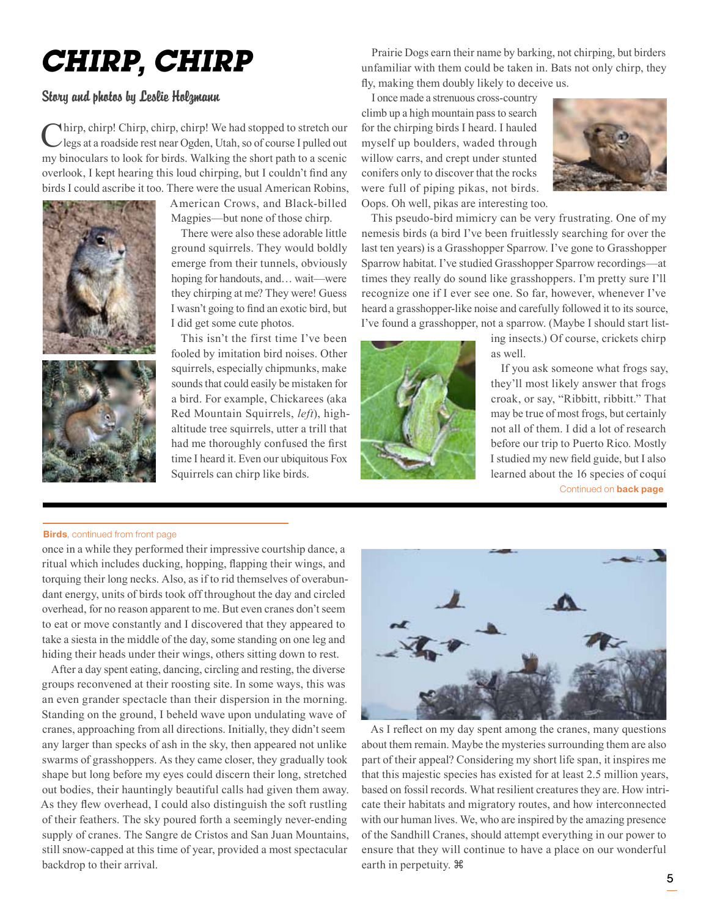# *Chirp, Chirp*

### Story and photos by Leslie Holzmann

Chirp, chirp! Chirp, chirp, chirp! We had stopped to stretch our legs at a roadside rest near Ogden, Utah, so of course I pulled out my binoculars to look for birds. Walking the short path to a scenic overlook, I kept hearing this loud chirping, but I couldn't find any birds I could ascribe it too. There were the usual American Robins,





American Crows, and Black-billed Magpies—but none of those chirp.

There were also these adorable little ground squirrels. They would boldly emerge from their tunnels, obviously hoping for handouts, and… wait—were they chirping at me? They were! Guess I wasn't going to find an exotic bird, but I did get some cute photos.

This isn't the first time I've been fooled by imitation bird noises. Other squirrels, especially chipmunks, make sounds that could easily be mistaken for a bird. For example, Chickarees (aka Red Mountain Squirrels, *left*), highaltitude tree squirrels, utter a trill that had me thoroughly confused the first time I heard it. Even our ubiquitous Fox Squirrels can chirp like birds.

Prairie Dogs earn their name by barking, not chirping, but birders unfamiliar with them could be taken in. Bats not only chirp, they fly, making them doubly likely to deceive us.

I once made a strenuous cross-country climb up a high mountain pass to search for the chirping birds I heard. I hauled myself up boulders, waded through willow carrs, and crept under stunted conifers only to discover that the rocks were full of piping pikas, not birds. Oops. Oh well, pikas are interesting too.



This pseudo-bird mimicry can be very frustrating. One of my nemesis birds (a bird I've been fruitlessly searching for over the last ten years) is a Grasshopper Sparrow. I've gone to Grasshopper Sparrow habitat. I've studied Grasshopper Sparrow recordings—at times they really do sound like grasshoppers. I'm pretty sure I'll recognize one if I ever see one. So far, however, whenever I've heard a grasshopper-like noise and carefully followed it to its source, I've found a grasshopper, not a sparrow. (Maybe I should start list-



ing insects.) Of course, crickets chirp as well.

If you ask someone what frogs say, they'll most likely answer that frogs croak, or say, "Ribbitt, ribbitt." That may be true of most frogs, but certainly not all of them. I did a lot of research before our trip to Puerto Rico. Mostly I studied my new field guide, but I also learned about the 16 species of coquí

#### Continued on back page

#### **Birds**, continued from front page

once in a while they performed their impressive courtship dance, a ritual which includes ducking, hopping, flapping their wings, and torquing their long necks. Also, as if to rid themselves of overabundant energy, units of birds took off throughout the day and circled overhead, for no reason apparent to me. But even cranes don't seem to eat or move constantly and I discovered that they appeared to take a siesta in the middle of the day, some standing on one leg and hiding their heads under their wings, others sitting down to rest.

After a day spent eating, dancing, circling and resting, the diverse groups reconvened at their roosting site. In some ways, this was an even grander spectacle than their dispersion in the morning. Standing on the ground, I beheld wave upon undulating wave of cranes, approaching from all directions. Initially, they didn't seem any larger than specks of ash in the sky, then appeared not unlike swarms of grasshoppers. As they came closer, they gradually took shape but long before my eyes could discern their long, stretched out bodies, their hauntingly beautiful calls had given them away. As they flew overhead, I could also distinguish the soft rustling of their feathers. The sky poured forth a seemingly never-ending supply of cranes. The Sangre de Cristos and San Juan Mountains, still snow-capped at this time of year, provided a most spectacular backdrop to their arrival.



As I reflect on my day spent among the cranes, many questions about them remain. Maybe the mysteries surrounding them are also part of their appeal? Considering my short life span, it inspires me that this majestic species has existed for at least 2.5 million years, based on fossil records. What resilient creatures they are. How intricate their habitats and migratory routes, and how interconnected with our human lives. We, who are inspired by the amazing presence of the Sandhill Cranes, should attempt everything in our power to ensure that they will continue to have a place on our wonderful earth in perpetuity.